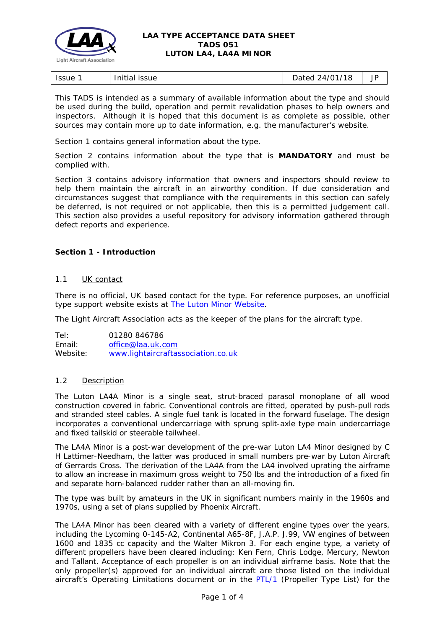

## **LAA TYPE ACCEPTANCE DATA SHEET TADS 051 LUTON LA4, LA4A MINOR**

| .<br>Initial<br><b>Issue</b><br><b>ISSUE</b> | $^{\prime}$ 18<br>24/01<br>Dated<br>∼ | ΙD<br>JI |
|----------------------------------------------|---------------------------------------|----------|
|----------------------------------------------|---------------------------------------|----------|

This TADS is intended as a summary of available information about the type and should be used during the build, operation and permit revalidation phases to help owners and inspectors. Although it is hoped that this document is as complete as possible, other sources may contain more up to date information, e.g. the manufacturer's website.

Section 1 contains general information about the type.

Section 2 contains information about the type that is **MANDATORY** and must be complied with.

Section 3 contains advisory information that owners and inspectors should review to help them maintain the aircraft in an airworthy condition. If due consideration and circumstances suggest that compliance with the requirements in this section can safely be deferred, is not required or not applicable, then this is a permitted judgement call. This section also provides a useful repository for advisory information gathered through defect reports and experience.

# **Section 1 - Introduction**

## 1.1 UK contact

There is no official, UK based contact for the type. For reference purposes, an unofficial type support website exists at **The Luton Minor Website**.

The Light Aircraft Association acts as the keeper of the plans for the aircraft type.

Tel: 01280 846786 Email: [office@laa.uk.com](mailto:office@laa.uk.com) Website: [www.lightaircraftassociation.co.uk](http://www.lightaircraftassociation.co.uk/)

### 1.2 Description

The Luton LA4A Minor is a single seat, strut-braced parasol monoplane of all wood construction covered in fabric. Conventional controls are fitted, operated by push-pull rods and stranded steel cables. A single fuel tank is located in the forward fuselage. The design incorporates a conventional undercarriage with sprung split-axle type main undercarriage and fixed tailskid or steerable tailwheel.

The LA4A Minor is a post-war development of the pre-war Luton LA4 Minor designed by C H Lattimer-Needham, the latter was produced in small numbers pre-war by Luton Aircraft of Gerrards Cross. The derivation of the LA4A from the LA4 involved uprating the airframe to allow an increase in maximum gross weight to 750 lbs and the introduction of a fixed fin and separate horn-balanced rudder rather than an all-moving fin.

The type was built by amateurs in the UK in significant numbers mainly in the 1960s and 1970s, using a set of plans supplied by Phoenix Aircraft.

The LA4A Minor has been cleared with a variety of different engine types over the years, including the Lycoming 0-145-A2, Continental A65-8F, J.A.P. J.99, VW engines of between 1600 and 1835 cc capacity and the Walter Mikron 3. For each engine type, a variety of different propellers have been cleared including: Ken Fern, Chris Lodge, Mercury, Newton and Tallant. Acceptance of each propeller is on an individual airframe basis. Note that the only propeller(s) approved for an individual aircraft are those listed on the individual aircraft's Operating Limitations document or in the **PTL/1** (Propeller Type List) for the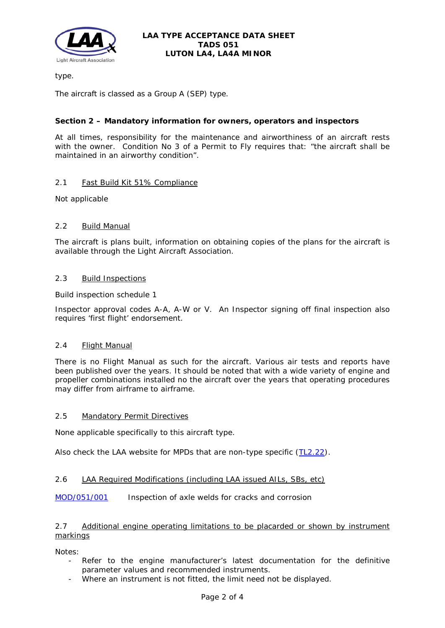

type.

The aircraft is classed as a Group A (SEP) type.

# **Section 2 – Mandatory information for owners, operators and inspectors**

At all times, responsibility for the maintenance and airworthiness of an aircraft rests with the owner. Condition No 3 of a Permit to Fly requires that: *"the aircraft shall be maintained in an airworthy condition".* 

# 2.1 Fast Build Kit 51% Compliance

Not applicable

# 2.2 Build Manual

The aircraft is plans built, information on obtaining copies of the plans for the aircraft is available through the Light Aircraft Association.

# 2.3 Build Inspections

Build inspection schedule 1

Inspector approval codes A-A, A-W or V. An Inspector signing off final inspection also requires 'first flight' endorsement.

# 2.4 Flight Manual

There is no Flight Manual as such for the aircraft. Various air tests and reports have been published over the years. It should be noted that with a wide variety of engine and propeller combinations installed no the aircraft over the years that operating procedures may differ from airframe to airframe.

# 2.5 Mandatory Permit Directives

None applicable specifically to this aircraft type.

Also check the LAA website for MPDs that are non-type specific [\(TL2.22\)](http://www.lightaircraftassociation.co.uk/engineering/TechnicalLeaflets/Operating%20An%20Aircraft/TL%202.22%20non-type%20specific%20MPDs.pdf).

# 2.6 LAA Required Modifications (including LAA issued AILs, SBs, etc)

[MOD/051/001](http://www.lightaircraftassociation.co.uk/engineering/TADs/051/MOD%20051-001.pdf) Inspection of axle welds for cracks and corrosion

# 2.7 Additional engine operating limitations to be placarded or shown by instrument markings

Notes:

- Refer to the engine manufacturer's latest documentation for the definitive parameter values and recommended instruments.
- Where an instrument is not fitted, the limit need not be displayed.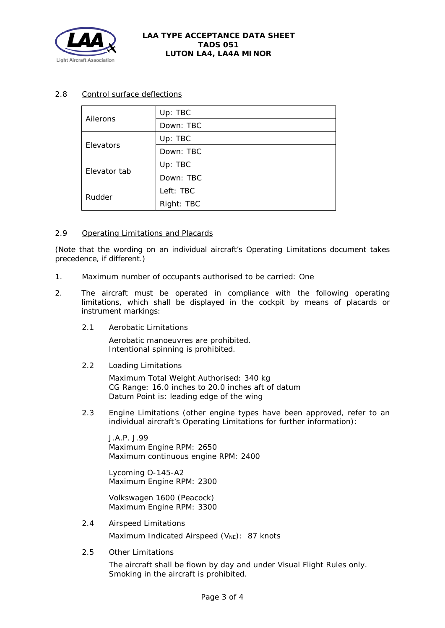

## **LAA TYPE ACCEPTANCE DATA SHEET TADS 051 LUTON LA4, LA4A MINOR**

# 2.8 Control surface deflections

| Ailerons     | Up: TBC    |
|--------------|------------|
|              | Down: TBC  |
| Elevators    | Up: TBC    |
|              | Down: TBC  |
| Elevator tab | Up: TBC    |
|              | Down: TBC  |
| Rudder       | Left: TBC  |
|              | Right: TBC |

# 2.9 Operating Limitations and Placards

(Note that the wording on an individual aircraft's Operating Limitations document takes precedence, if different.)

- 1. Maximum number of occupants authorised to be carried: One
- 2. The aircraft must be operated in compliance with the following operating limitations, which shall be displayed in the cockpit by means of placards or instrument markings:
	- 2.1 Aerobatic Limitations

Aerobatic manoeuvres are prohibited. Intentional spinning is prohibited.

2.2 Loading Limitations

Maximum Total Weight Authorised: 340 kg CG Range: 16.0 inches to 20.0 inches aft of datum Datum Point is: leading edge of the wing

2.3 Engine Limitations (other engine types have been approved, refer to an individual aircraft's Operating Limitations for further information):

J.A.P. J.99 Maximum Engine RPM: 2650 Maximum continuous engine RPM: 2400

Lycoming O-145-A2 Maximum Engine RPM: 2300

Volkswagen 1600 (Peacock) Maximum Engine RPM: 3300

- 2.4 Airspeed Limitations Maximum Indicated Airspeed  $(V_{NE})$ : 87 knots
- 2.5 Other Limitations

The aircraft shall be flown by day and under Visual Flight Rules only. Smoking in the aircraft is prohibited.